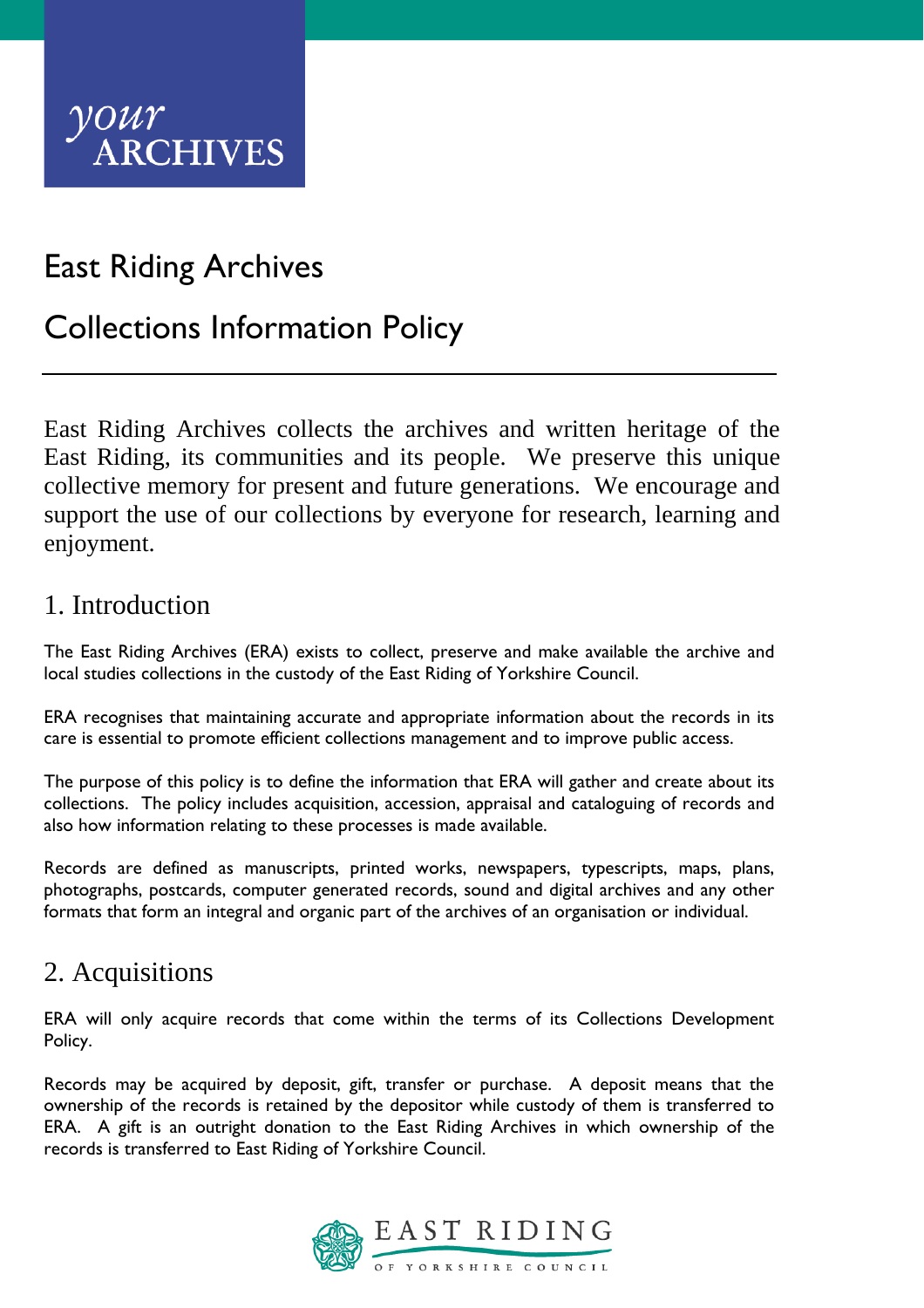

# East Riding Archives

# Collections Information Policy

East Riding Archives collects the archives and written heritage of the East Riding, its communities and its people. We preserve this unique collective memory for present and future generations. We encourage and support the use of our collections by everyone for research, learning and enjoyment.

#### 1. Introduction

The East Riding Archives (ERA) exists to collect, preserve and make available the archive and local studies collections in the custody of the East Riding of Yorkshire Council.

ERA recognises that maintaining accurate and appropriate information about the records in its care is essential to promote efficient collections management and to improve public access.

The purpose of this policy is to define the information that ERA will gather and create about its collections. The policy includes acquisition, accession, appraisal and cataloguing of records and also how information relating to these processes is made available.

Records are defined as manuscripts, printed works, newspapers, typescripts, maps, plans, photographs, postcards, computer generated records, sound and digital archives and any other formats that form an integral and organic part of the archives of an organisation or individual.

## 2. Acquisitions

ERA will only acquire records that come within the terms of its Collections Development Policy.

Records may be acquired by deposit, gift, transfer or purchase. A deposit means that the ownership of the records is retained by the depositor while custody of them is transferred to ERA. A gift is an outright donation to the East Riding Archives in which ownership of the records is transferred to East Riding of Yorkshire Council.

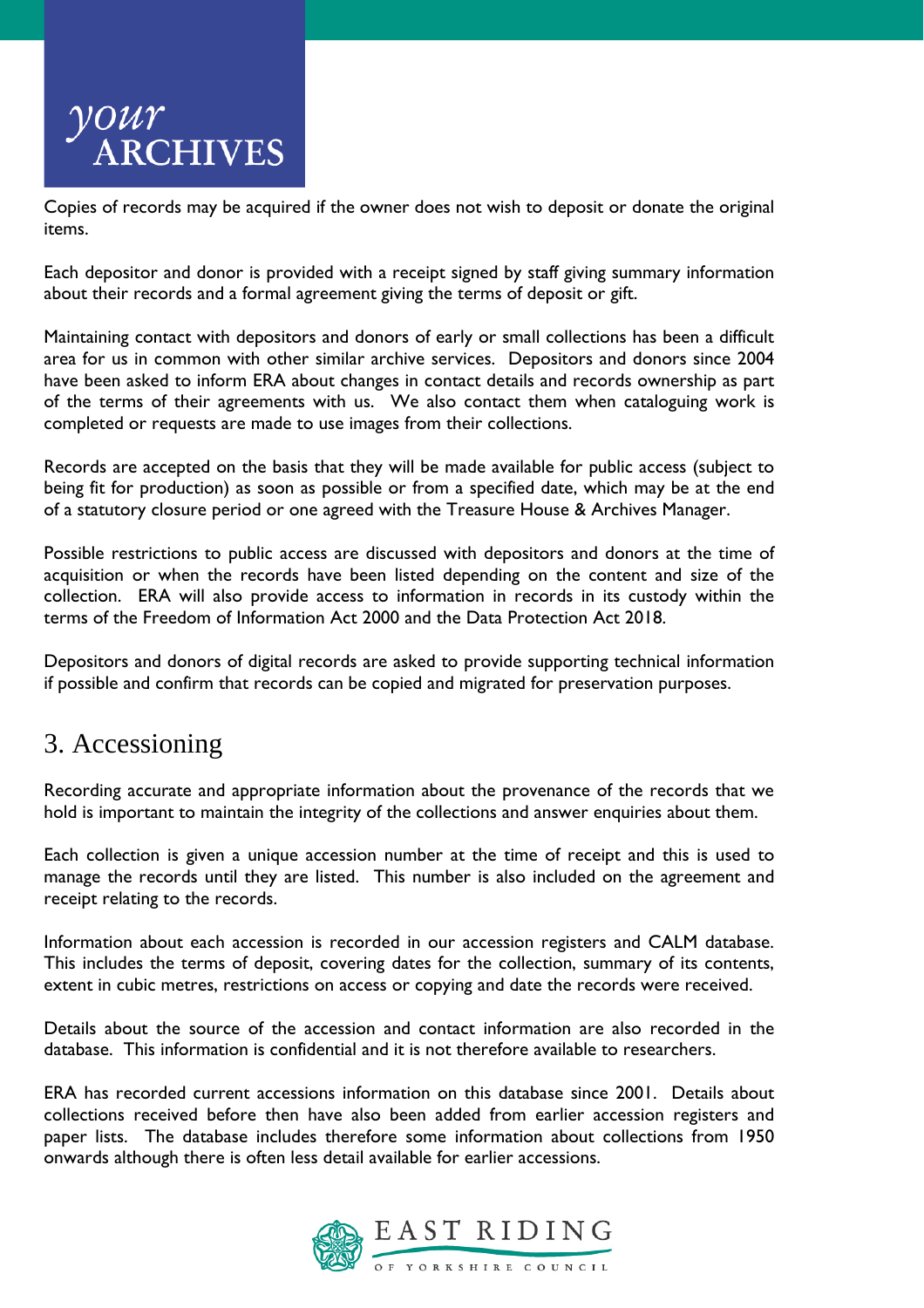

Copies of records may be acquired if the owner does not wish to deposit or donate the original items.

Each depositor and donor is provided with a receipt signed by staff giving summary information about their records and a formal agreement giving the terms of deposit or gift.

Maintaining contact with depositors and donors of early or small collections has been a difficult area for us in common with other similar archive services. Depositors and donors since 2004 have been asked to inform ERA about changes in contact details and records ownership as part of the terms of their agreements with us. We also contact them when cataloguing work is completed or requests are made to use images from their collections.

Records are accepted on the basis that they will be made available for public access (subject to being fit for production) as soon as possible or from a specified date, which may be at the end of a statutory closure period or one agreed with the Treasure House & Archives Manager.

Possible restrictions to public access are discussed with depositors and donors at the time of acquisition or when the records have been listed depending on the content and size of the collection. ERA will also provide access to information in records in its custody within the terms of the Freedom of Information Act 2000 and the Data Protection Act 2018.

Depositors and donors of digital records are asked to provide supporting technical information if possible and confirm that records can be copied and migrated for preservation purposes.

## 3. Accessioning

Recording accurate and appropriate information about the provenance of the records that we hold is important to maintain the integrity of the collections and answer enquiries about them.

Each collection is given a unique accession number at the time of receipt and this is used to manage the records until they are listed. This number is also included on the agreement and receipt relating to the records.

Information about each accession is recorded in our accession registers and CALM database. This includes the terms of deposit, covering dates for the collection, summary of its contents, extent in cubic metres, restrictions on access or copying and date the records were received.

Details about the source of the accession and contact information are also recorded in the database. This information is confidential and it is not therefore available to researchers.

ERA has recorded current accessions information on this database since 2001. Details about collections received before then have also been added from earlier accession registers and paper lists. The database includes therefore some information about collections from 1950 onwards although there is often less detail available for earlier accessions.

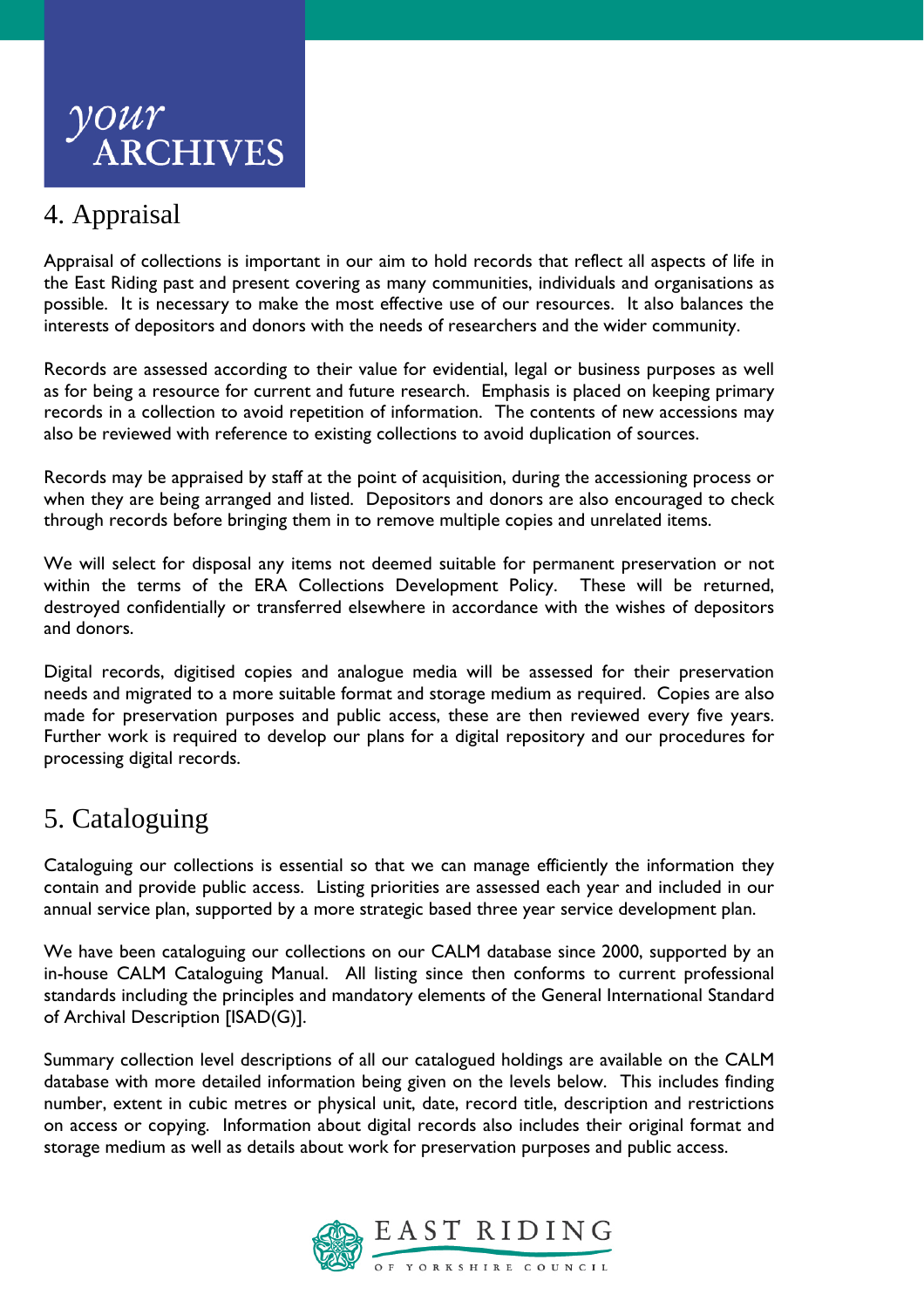

## 4. Appraisal

Appraisal of collections is important in our aim to hold records that reflect all aspects of life in the East Riding past and present covering as many communities, individuals and organisations as possible. It is necessary to make the most effective use of our resources. It also balances the interests of depositors and donors with the needs of researchers and the wider community.

Records are assessed according to their value for evidential, legal or business purposes as well as for being a resource for current and future research. Emphasis is placed on keeping primary records in a collection to avoid repetition of information. The contents of new accessions may also be reviewed with reference to existing collections to avoid duplication of sources.

Records may be appraised by staff at the point of acquisition, during the accessioning process or when they are being arranged and listed. Depositors and donors are also encouraged to check through records before bringing them in to remove multiple copies and unrelated items.

We will select for disposal any items not deemed suitable for permanent preservation or not within the terms of the ERA Collections Development Policy. These will be returned, destroyed confidentially or transferred elsewhere in accordance with the wishes of depositors and donors.

Digital records, digitised copies and analogue media will be assessed for their preservation needs and migrated to a more suitable format and storage medium as required. Copies are also made for preservation purposes and public access, these are then reviewed every five years. Further work is required to develop our plans for a digital repository and our procedures for processing digital records.

# 5. Cataloguing

Cataloguing our collections is essential so that we can manage efficiently the information they contain and provide public access. Listing priorities are assessed each year and included in our annual service plan, supported by a more strategic based three year service development plan.

We have been cataloguing our collections on our CALM database since 2000, supported by an in-house CALM Cataloguing Manual. All listing since then conforms to current professional standards including the principles and mandatory elements of the General International Standard of Archival Description [ISAD(G)].

Summary collection level descriptions of all our catalogued holdings are available on the CALM database with more detailed information being given on the levels below. This includes finding number, extent in cubic metres or physical unit, date, record title, description and restrictions on access or copying. Information about digital records also includes their original format and storage medium as well as details about work for preservation purposes and public access.